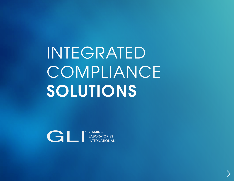INTEGRATED **COMPLIANCE SOLUTIONS** 

CONTRACTES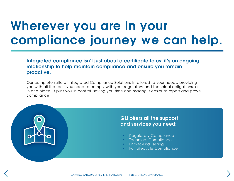### Wherever you are in your compliance journey we can help.

Integrated compliance isn't just about a certificate to us; it's an ongoing relationship to help maintain compliance and ensure you remain proactive.

Our complete suite of Integrated Compliance Solutions is tailored to your needs, providing you with all the tools you need to comply with your regulatory and technical obligations, all in one place. It puts you in control, saving you time and making it easier to report and prove compliance.

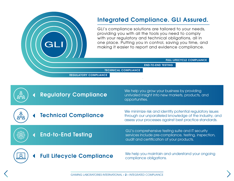### Integrated Compliance. GLI Assured. Integrated Compliance. GLI Assured.

providing you with all the tools you need to comply providing your requirement and toopping of with your regulatory and technical obligations, all in one place. Putting you in control, saving you time, and making it easier to report and evidence compliance. GLI's compliance solutions are tailored to your needs,

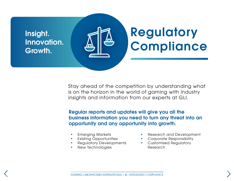

Stay ahead of the competition by understanding what is on the horizon in the world of gaming with industry insights and information from our experts at GLI.

Regular reports and updates will give you all the business information you need to turn any threat into an opportunity and any opportunity into growth.

- Emerging Markets
- Existing Opportunities
- Regulatory Developments
- New Technologies
- Research and Development
- Corporate Responsibility
- Customised Regulatory Research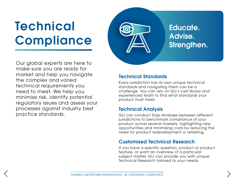# Technical **Compliance**



Our global experts are here to make sure you are ready for market and help you navigate the complex and varied technical requirements you need to meet. We help you minimise risk, identify potential regulatory issues and assess your processes against industry best practice standards.

#### Technical Standards

Every jurisdiction has its own unique technical standards and navigating them can be a challenge. You can rely on GLI's vast library and experienced team to find what standards your product must meet.

#### Technical Analysis

GLI can conduct Gap Analyses between different jurisdictions to benchmark compliance of your product across several markets, highlighting new opportunities and minimising costs by reducing the need for product redevelopment or retesting.

#### Customised Technical Research

If you have a specific question, product or product feature, or want an overview of a particular subject matter, GLI can provide you with unique Technical Research tailored to your needs.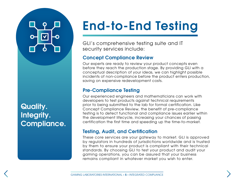Quality. Integrity. Compliance.

# End-to-End Testing

GLI's comprehensive testing suite and IT security services include:

### Concept Compliance Review

Our experts are ready to review your product concepts even before they reach the production stage. By providing GLI with a conceptual description of your ideas, we can highlight possible incidents of non-compliance before the product enters production, saving on expensive redevelopment costs.

#### Pre-Compliance Testing

Our experienced engineers and mathematicians can work with developers to test products against technical requirements prior to being submitted to the lab for formal certification. Like Concept Compliance Review, the benefit of pre-compliance testing is to detect functional and compliance issues earlier within the development lifecycle, increasing your chances of passing certification the first time and speeding up the time-to-market.

#### Testing, Audit, and Certification

These core services are your gateway to market. GLI is approved by regulators in hundreds of jurisdictions worldwide and is trusted by them to ensure your product is compliant with their technical standards. By choosing GLI to test your product and audit your gaming operations, you can be assured that your business remains compliant in whatever market you wish to enter.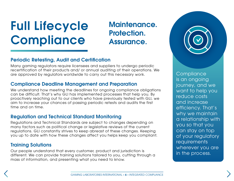## Full Lifecycle **Compliance**

### Maintenance. Protection. Assurance.

#### Periodic Retesting, Audit and Certification

Many gaming regulators require licensees and suppliers to undergo periodic recertification of their products and/ or annual auditing of their operations. We are approved by regulators worldwide to carry out this necessary work.

#### Compliance Deadline Management and Preparation

We understand how meeting the deadlines for ongoing compliance obligations can be difficult. That's why GLI has implemented processes that help you. By proactively reaching out to our clients who have previously tested with GLI, we aim to increase your chances of passing periodic retests and audits the first time and on time.

#### Regulation and Technical Standard Monitoring

Regulations and Technical Standards are subject to changes depending on many factors such as political change or legislative reviews of the current regulations. GLI constantly strives to keep abreast of these changes. Keeping you up to date with how these changes affect you helps keep you compliant.

#### Training Solutions

Our people understand that every customer, product and jurisdiction is different. We can provide training solutions tailored to you, cutting through a mass of information, and presenting what you need to know.



**Compliance** is an ongoing journey, and we want to help you reduce costs and increase efficiency. That's why we maintain a relationship with you so that you can stay on top of your regulatory **requirements** wherever you are in the process.